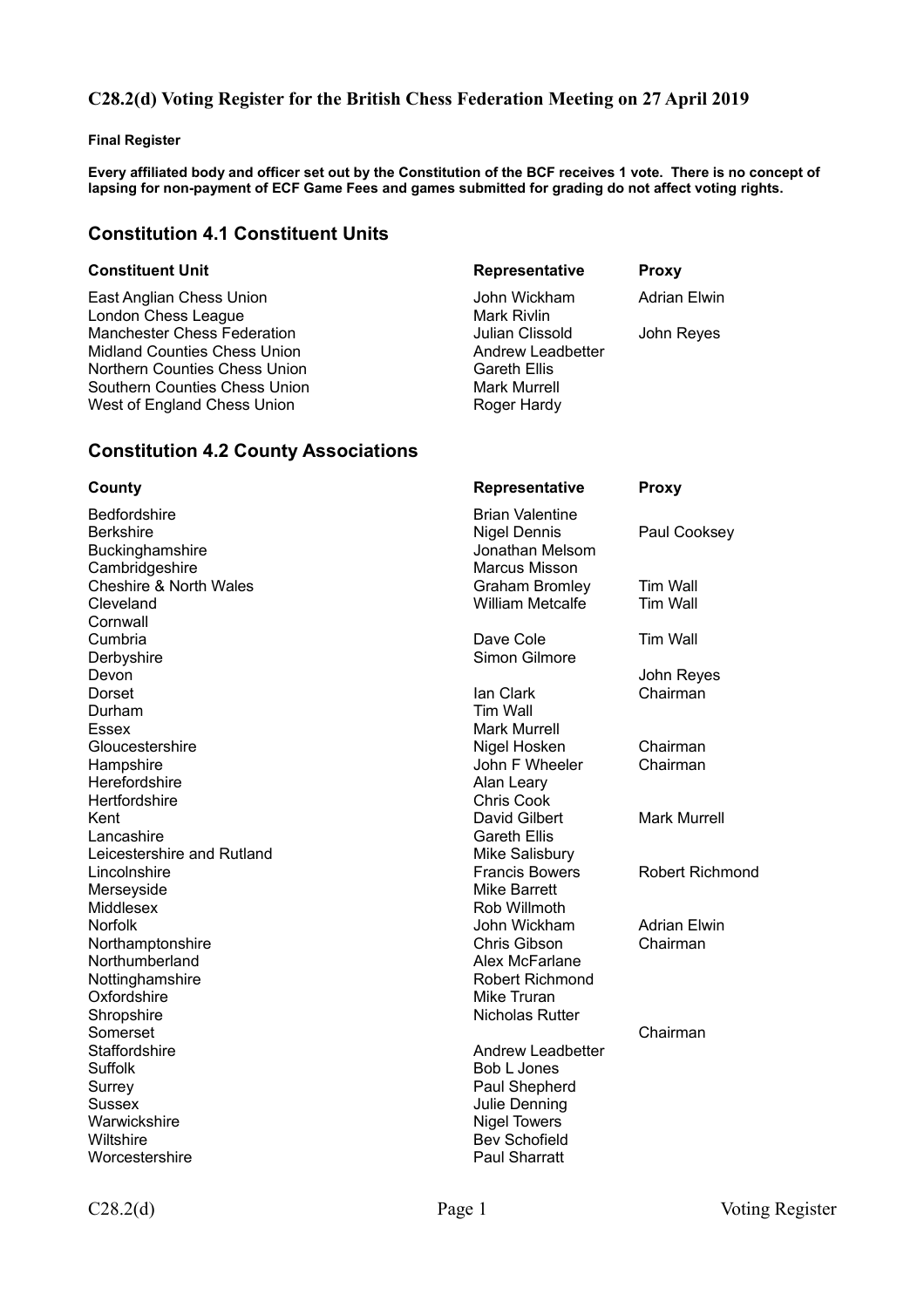## **C28.2(d) Voting Register for the British Chess Federation Meeting on 27 April 2019**

#### **Final Register**

**Every affiliated body and officer set out by the Constitution of the BCF receives 1 vote. There is no concept of lapsing for non-payment of ECF Game Fees and games submitted for grading do not affect voting rights.**

## **Constitution 4.1 Constituent Units**

East Anglian Chess Union **Channel Action** John Wickham Adrian Elwin London Chess League Mark Rivlin Manchester Chess Federation<br>
Midland Counties Chess Union<br>
Midland Counties Chess Union<br>
Commence of the Andrew Leadbetter Midland Counties Chess Union Northern Counties Chess Union Gareth Ellis Southern Counties Chess Union Mark Murrell West of England Chess Union Roger Hardy

#### **Constituent Unit Constituent Unit Representative Proxy**

# **Constitution 4.2 County Associations**

| County                                              | Representative                                                   | <b>Proxy</b>                       |
|-----------------------------------------------------|------------------------------------------------------------------|------------------------------------|
| Bedfordshire<br><b>Berkshire</b><br>Buckinghamshire | <b>Brian Valentine</b><br><b>Nigel Dennis</b><br>Jonathan Melsom | Paul Cooksey                       |
| Cambridgeshire                                      | <b>Marcus Misson</b>                                             |                                    |
| <b>Cheshire &amp; North Wales</b><br>Cleveland      | <b>Graham Bromley</b><br><b>William Metcalfe</b>                 | <b>Tim Wall</b><br><b>Tim Wall</b> |
| Cornwall                                            |                                                                  |                                    |
| Cumbria                                             | Dave Cole                                                        | <b>Tim Wall</b>                    |
| Derbyshire                                          | Simon Gilmore                                                    |                                    |
| Devon                                               |                                                                  | John Reyes                         |
| Dorset                                              | lan Clark                                                        | Chairman                           |
| Durham                                              | Tim Wall                                                         |                                    |
| <b>Essex</b>                                        | <b>Mark Murrell</b>                                              |                                    |
| Gloucestershire                                     | Nigel Hosken                                                     | Chairman                           |
| Hampshire                                           | John F Wheeler                                                   | Chairman                           |
| Herefordshire                                       | Alan Leary                                                       |                                    |
| Hertfordshire                                       | <b>Chris Cook</b>                                                |                                    |
| Kent                                                | David Gilbert                                                    | <b>Mark Murrell</b>                |
| Lancashire                                          | <b>Gareth Ellis</b>                                              |                                    |
| Leicestershire and Rutland                          | Mike Salisbury                                                   |                                    |
| Lincolnshire                                        | <b>Francis Bowers</b>                                            | <b>Robert Richmond</b>             |
| Merseyside                                          | <b>Mike Barrett</b>                                              |                                    |
| Middlesex                                           | Rob Willmoth                                                     |                                    |
| <b>Norfolk</b>                                      | John Wickham                                                     | <b>Adrian Elwin</b>                |
| Northamptonshire                                    | Chris Gibson                                                     | Chairman                           |
| Northumberland                                      | Alex McFarlane                                                   |                                    |
| Nottinghamshire                                     | Robert Richmond                                                  |                                    |
| Oxfordshire                                         | Mike Truran                                                      |                                    |
| Shropshire                                          | <b>Nicholas Rutter</b>                                           |                                    |
| Somerset                                            |                                                                  | Chairman                           |
| Staffordshire                                       | Andrew Leadbetter                                                |                                    |
| <b>Suffolk</b>                                      | Bob L Jones                                                      |                                    |
| Surrey                                              | Paul Shepherd                                                    |                                    |
| Sussex                                              | Julie Denning                                                    |                                    |
| Warwickshire                                        | <b>Nigel Towers</b>                                              |                                    |
| Wiltshire                                           | <b>Bev Schofield</b>                                             |                                    |
| Worcestershire                                      | <b>Paul Sharratt</b>                                             |                                    |